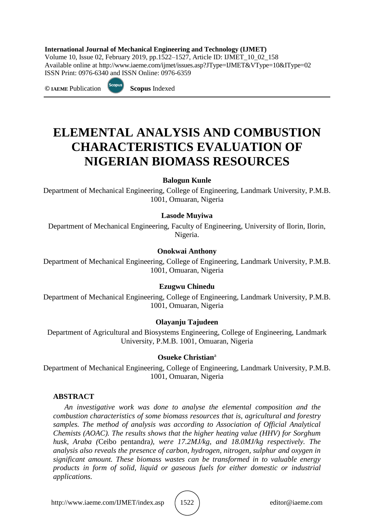#### **International Journal of Mechanical Engineering and Technology (IJMET)**

Volume 10, Issue 02, February 2019, pp.1522–1527, Article ID: IJMET\_10\_02\_158 Available online at [http://www.iaeme.com/ijmet/issues.asp?JType=IJMET&VType=10&IType=0](http://www.iaeme.com/ijmet/issues.asp?JType=IJMET&VType=10&IType=)2 ISSN Print: 0976-6340 and ISSN Online: 0976-6359

**© IAEME** Publication **Scopus** Indexed



# **ELEMENTAL ANALYSIS AND COMBUSTION CHARACTERISTICS EVALUATION OF NIGERIAN BIOMASS RESOURCES**

### **Balogun Kunle**

Department of Mechanical Engineering, College of Engineering, Landmark University, P.M.B. 1001, Omuaran, Nigeria

### **Lasode Muyiwa**

Department of Mechanical Engineering, Faculty of Engineering, University of Ilorin, Ilorin, Nigeria.

### **Onokwai Anthony**

Department of Mechanical Engineering, College of Engineering, Landmark University, P.M.B. 1001, Omuaran, Nigeria

#### **Ezugwu Chinedu**

Department of Mechanical Engineering, College of Engineering, Landmark University, P.M.B. 1001, Omuaran, Nigeria

#### **Olayanju Tajudeen**

Department of Agricultural and Biosystems Engineering, College of Engineering, Landmark University, P.M.B. 1001, Omuaran, Nigeria

#### **Osueke Christian**<sup>a</sup>

Department of Mechanical Engineering, College of Engineering, Landmark University, P.M.B. 1001, Omuaran, Nigeria

#### **ABSTRACT**

*An investigative work was done to analyse the elemental composition and the combustion characteristics of some biomass resources that is, agricultural and forestry samples. The method of analysis was according to Association of Official Analytical Chemists (AOAC). The results shows that the higher heating value (HHV) for Sorghum husk, Araba (*Ceibo pentandra*), were 17.2MJ/kg, and 18.0MJ/kg respectively. The analysis also reveals the presence of carbon, hydrogen, nitrogen, sulphur and oxygen in significant amount. These biomass wastes can be transformed in to valuable energy products in form of solid, liquid or gaseous fuels for either domestic or industrial applications.*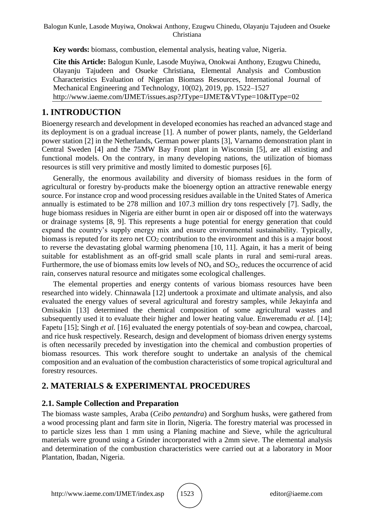**Key words:** biomass, combustion, elemental analysis, heating value, Nigeria.

**Cite this Article:** Balogun Kunle, Lasode Muyiwa, Onokwai Anthony, Ezugwu Chinedu, Olayanju Tajudeen and Osueke Christiana, Elemental Analysis and Combustion Characteristics Evaluation of Nigerian Biomass Resources, International Journal of Mechanical Engineering and Technology, 10(02), 2019, pp. 1522–1527 [http://www.iaeme.com/IJMET/issues.asp?JType=IJMET&VType=10&IType=0](http://www.iaeme.com/IJMET/issues.asp?JType=IJMET&VType=10&IType=)2

# **1. INTRODUCTION**

Bioenergy research and development in developed economies has reached an advanced stage and its deployment is on a gradual increase [1]. A number of power plants, namely, the Gelderland power station [2] in the Netherlands, German power plants [3], Varnamo demonstration plant in Central Sweden [4] and the 75MW Bay Front plant in Wisconsin [5], are all existing and functional models. On the contrary, in many developing nations, the utilization of biomass resources is still very primitive and mostly limited to domestic purposes [6].

Generally, the enormous availability and diversity of biomass residues in the form of agricultural or forestry by-products make the bioenergy option an attractive renewable energy source. For instance crop and wood processing residues available in the United States of America annually is estimated to be 278 million and 107.3 million dry tons respectively [7]. Sadly, the huge biomass residues in Nigeria are either burnt in open air or disposed off into the waterways or drainage systems [8, 9]. This represents a huge potential for energy generation that could expand the country's supply energy mix and ensure environmental sustainability. Typically, biomass is reputed for its zero net CO<sub>2</sub> contribution to the environment and this is a major boost to reverse the devastating global warming phenomena [10, 11]. Again, it has a merit of being suitable for establishment as an off-grid small scale plants in rural and semi-rural areas. Furthermore, the use of biomass emits low levels of  $NO<sub>x</sub>$  and  $SO<sub>2</sub>$ , reduces the occurrence of acid rain, conserves natural resource and mitigates some ecological challenges.

The elemental properties and energy contents of various biomass resources have been researched into widely. Chinnawala [12] undertook a proximate and ultimate analysis, and also evaluated the energy values of several agricultural and forestry samples, while Jekayinfa and Omisakin [13] determined the chemical composition of some agricultural wastes and subsequently used it to evaluate their higher and lower heating value. Enweremadu *et al.* [14]; Fapetu [15]; Singh *et al.* [16] evaluated the energy potentials of soy-bean and cowpea, charcoal, and rice husk respectively. Research, design and development of biomass driven energy systems is often necessarily preceded by investigation into the chemical and combustion properties of biomass resources. This work therefore sought to undertake an analysis of the chemical composition and an evaluation of the combustion characteristics of some tropical agricultural and forestry resources.

# **2. MATERIALS & EXPERIMENTAL PROCEDURES**

# **2.1. Sample Collection and Preparation**

The biomass waste samples, Araba (*Ceibo pentandra*) and Sorghum husks, were gathered from a wood processing plant and farm site in Ilorin, Nigeria. The forestry material was processed in to particle sizes less than 1 mm using a Planing machine and Sieve, while the agricultural materials were ground using a Grinder incorporated with a 2mm sieve. The elemental analysis and determination of the combustion characteristics were carried out at a laboratory in Moor Plantation, Ibadan, Nigeria.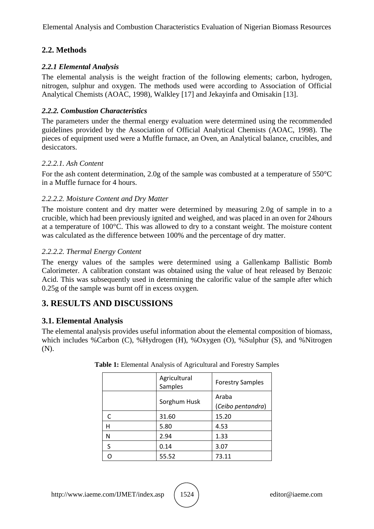Elemental Analysis and Combustion Characteristics Evaluation of Nigerian Biomass Resources

# **2.2. Methods**

## *2.2.1 Elemental Analysis*

The elemental analysis is the weight fraction of the following elements; carbon, hydrogen, nitrogen, sulphur and oxygen. The methods used were according to Association of Official Analytical Chemists (AOAC, 1998), Walkley [17] and Jekayinfa and Omisakin [13].

## *2.2.2. Combustion Characteristics*

The parameters under the thermal energy evaluation were determined using the recommended guidelines provided by the Association of Official Analytical Chemists (AOAC, 1998). The pieces of equipment used were a Muffle furnace, an Oven, an Analytical balance, crucibles, and desiccators.

# *2.2.2.1. Ash Content*

For the ash content determination, 2.0g of the sample was combusted at a temperature of 550°C in a Muffle furnace for 4 hours.

# *2.2.2.2. Moisture Content and Dry Matter*

The moisture content and dry matter were determined by measuring 2.0g of sample in to a crucible, which had been previously ignited and weighed, and was placed in an oven for 24hours at a temperature of 100°C. This was allowed to dry to a constant weight. The moisture content was calculated as the difference between 100% and the percentage of dry matter.

# *2.2.2.2. Thermal Energy Content*

The energy values of the samples were determined using a Gallenkamp Ballistic Bomb Calorimeter. A calibration constant was obtained using the value of heat released by Benzoic Acid. This was subsequently used in determining the calorific value of the sample after which 0.25g of the sample was burnt off in excess oxygen.

# **3. RESULTS AND DISCUSSIONS**

# **3.1. Elemental Analysis**

The elemental analysis provides useful information about the elemental composition of biomass, which includes %Carbon (C), %Hydrogen (H), %Oxygen (O), %Sulphur (S), and %Nitrogen (N).

|   | Agricultural<br>Samples | <b>Forestry Samples</b> |
|---|-------------------------|-------------------------|
|   | Sorghum Husk            | Araba                   |
|   |                         | (Ceibo pentandra)       |
|   | 31.60                   | 15.20                   |
| н | 5.80                    | 4.53                    |
| N | 2.94                    | 1.33                    |
| S | 0.14                    | 3.07                    |
|   | 55.52                   | 73.11                   |

## **Table 1:** Elemental Analysis of Agricultural and Forestry Samples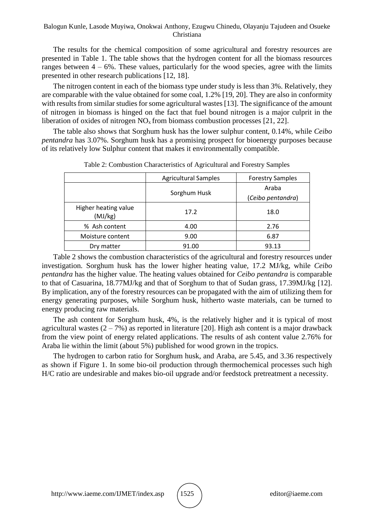#### Balogun Kunle, Lasode Muyiwa, Onokwai Anthony, Ezugwu Chinedu, Olayanju Tajudeen and Osueke Christiana

The results for the chemical composition of some agricultural and forestry resources are presented in Table 1. The table shows that the hydrogen content for all the biomass resources ranges between  $4 - 6\%$ . These values, particularly for the wood species, agree with the limits presented in other research publications [12, 18].

The nitrogen content in each of the biomass type under study is less than 3%. Relatively, they are comparable with the value obtained for some coal, 1.2% [19, 20]. They are also in conformity with results from similar studies for some agricultural wastes [13]. The significance of the amount of nitrogen in biomass is hinged on the fact that fuel bound nitrogen is a major culprit in the liberation of oxides of nitrogen  $NO<sub>x</sub>$  from biomass combustion processes [21, 22].

The table also shows that Sorghum husk has the lower sulphur content, 0.14%, while *Ceibo pentandra* has 3.07%. Sorghum husk has a promising prospect for bioenergy purposes because of its relatively low Sulphur content that makes it environmentally compatible.

|                                 | <b>Agricultural Samples</b> | <b>Forestry Samples</b> |
|---------------------------------|-----------------------------|-------------------------|
|                                 | Sorghum Husk                | Araba                   |
|                                 |                             | (Ceibo pentandra)       |
| Higher heating value<br>(MJ/kg) | 17.2                        | 18.0                    |
| % Ash content                   | 4.00                        | 2.76                    |
| Moisture content                | 9.00                        | 6.87                    |
| Dry matter                      | 91.00                       | 93.13                   |

Table 2: Combustion Characteristics of Agricultural and Forestry Samples

Table 2 shows the combustion characteristics of the agricultural and forestry resources under investigation. Sorghum husk has the lower higher heating value, 17.2 MJ/kg, while *Ceibo pentandra* has the higher value. The heating values obtained for *Ceibo pentandra* is comparable to that of Casuarina, 18.77MJ/kg and that of Sorghum to that of Sudan grass, 17.39MJ/kg [12]. By implication, any of the forestry resources can be propagated with the aim of utilizing them for energy generating purposes, while Sorghum husk, hitherto waste materials, can be turned to energy producing raw materials.

The ash content for Sorghum husk, 4%, is the relatively higher and it is typical of most agricultural wastes  $(2 - 7\%)$  as reported in literature [20]. High ash content is a major drawback from the view point of energy related applications. The results of ash content value 2.76% for Araba lie within the limit (about 5%) published for wood grown in the tropics.

The hydrogen to carbon ratio for Sorghum husk, and Araba, are 5.45, and 3.36 respectively as shown if Figure 1. In some bio-oil production through thermochemical processes such high H/C ratio are undesirable and makes bio-oil upgrade and/or feedstock pretreatment a necessity.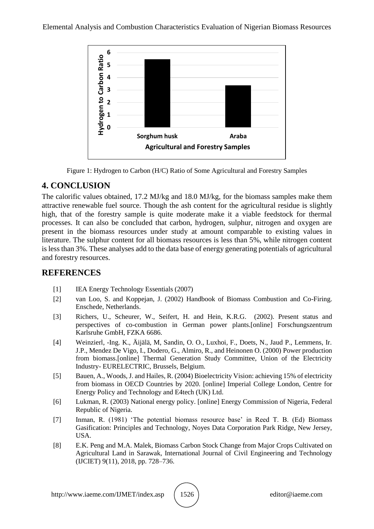

Figure 1: Hydrogen to Carbon (H/C) Ratio of Some Agricultural and Forestry Samples

# **4. CONCLUSION**

The calorific values obtained, 17.2 MJ/kg and 18.0 MJ/kg, for the biomass samples make them attractive renewable fuel source. Though the ash content for the agricultural residue is slightly high, that of the forestry sample is quite moderate make it a viable feedstock for thermal processes. It can also be concluded that carbon, hydrogen, sulphur, nitrogen and oxygen are present in the biomass resources under study at amount comparable to existing values in literature. The sulphur content for all biomass resources is less than 5%, while nitrogen content is less than 3%. These analyses add to the data base of energy generating potentials of agricultural and forestry resources.

# **REFERENCES**

- [1] IEA Energy Technology Essentials (2007)
- [2] van Loo, S. and Koppejan, J. (2002) Handbook of Biomass Combustion and Co-Firing. Enschede, Netherlands.
- [3] Richers, U., Scheurer, W., Seifert, H. and Hein, K.R.G. (2002). Present status and perspectives of co-combustion in German power plants.[online] Forschungszentrum Karlsruhe GmbH, FZKA 6686.
- [4] Weinzierl, -Ing. K., Äijälä, M, Sandin, O. O., Luxhoi, F., Doets, N., Jaud P., Lemmens, Ir. J.P., Mendez De Vigo, I., Dodero, G., Almiro, R., and Heinonen O. (2000) Power production from biomass.[online] Thermal Generation Study Committee, Union of the Electricity Industry- EURELECTRIC, Brussels, Belgium.
- [5] Bauen, A., Woods, J. and Hailes, R. (2004) Bioelectricity Vision: achieving 15% of electricity from biomass in OECD Countries by 2020. [online] Imperial College London, Centre for Energy Policy and Technology and E4tech (UK) Ltd.
- [6] Lukman, R. (2003) National energy policy. [online] Energy Commission of Nigeria, Federal Republic of Nigeria.
- [7] Inman, R. (1981) 'The potential biomass resource base' in Reed T. B. (Ed) Biomass Gasification: Principles and Technology, Noyes Data Corporation Park Ridge, New Jersey, USA.
- [8] E.K. Peng and M.A. Malek, Biomass Carbon Stock Change from Major Crops Cultivated on Agricultural Land in Sarawak, International Journal of Civil Engineering and Technology (IJCIET) 9(11), 2018, pp. 728–736.